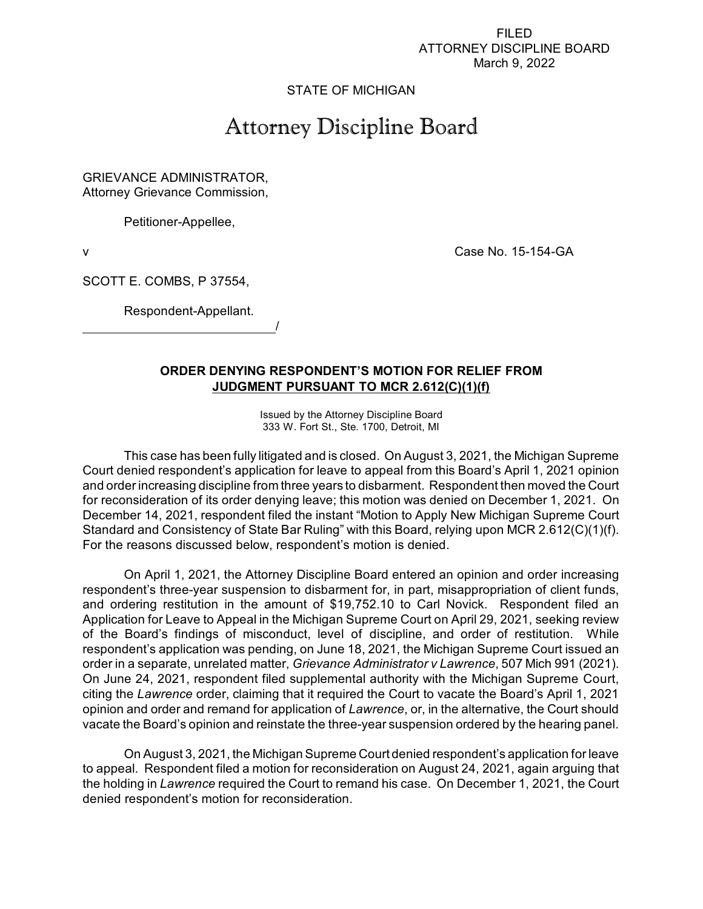### FILED ATTORNEY DISCIPLINE BOARD March 9, 2022

## STATE OF MICHIGAN

# Attorney Discipline Board

GRIEVANCE ADMINISTRATOR, Attorney Grievance Commission,

Petitioner-Appellee,

v Case No. 15-154-GA

SCOTT E. COMBS, P 37554,

Respondent-Appellant. /

### **ORDER DENYING RESPONDENT'S MOTION FOR RELIEF FROM JUDGMENT PURSUANT TO MCR 2.612(C)(1)(f)**

Issued by the Attorney Discipline Board 333 W. Fort St., Ste. 1700, Detroit, MI

This case has been fully litigated and is closed. On August 3, 2021, the Michigan Supreme Court denied respondent's application for leave to appeal from this Board's April 1, 2021 opinion and order increasing discipline from three years to disbarment. Respondent then moved the Court for reconsideration of its order denying leave; this motion was denied on December 1, 2021. On December 14, 2021, respondent filed the instant "Motion to Apply New Michigan Supreme Court Standard and Consistency of State Bar Ruling" with this Board, relying upon MCR 2.612(C)(1)(f). For the reasons discussed below, respondent's motion is denied.

On April 1, 2021, the Attorney Discipline Board entered an opinion and order increasing respondent's three-year suspension to disbarment for, in part, misappropriation of client funds, and ordering restitution in the amount of \$19,752.10 to Carl Novick. Respondent filed an Application for Leave to Appeal in the Michigan Supreme Court on April 29, 2021, seeking review of the Board's findings of misconduct, level of discipline, and order of restitution. While respondent's application was pending, on June 18, 2021, the Michigan Supreme Court issued an order in a separate, unrelated matter, *Grievance Administrator v Lawrence*, 507 Mich 991 (2021). On June 24, 2021, respondent filed supplemental authority with the Michigan Supreme Court, citing the *Lawrence* order, claiming that it required the Court to vacate the Board's April 1, 2021 opinion and order and remand for application of *Lawrence*, or, in the alternative, the Court should vacate the Board's opinion and reinstate the three-year suspension ordered by the hearing panel.

On August 3, 2021, the Michigan Supreme Court denied respondent's application for leave to appeal. Respondent filed a motion for reconsideration on August 24, 2021, again arguing that the holding in *Lawrence* required the Court to remand his case. On December 1, 2021, the Court denied respondent's motion for reconsideration.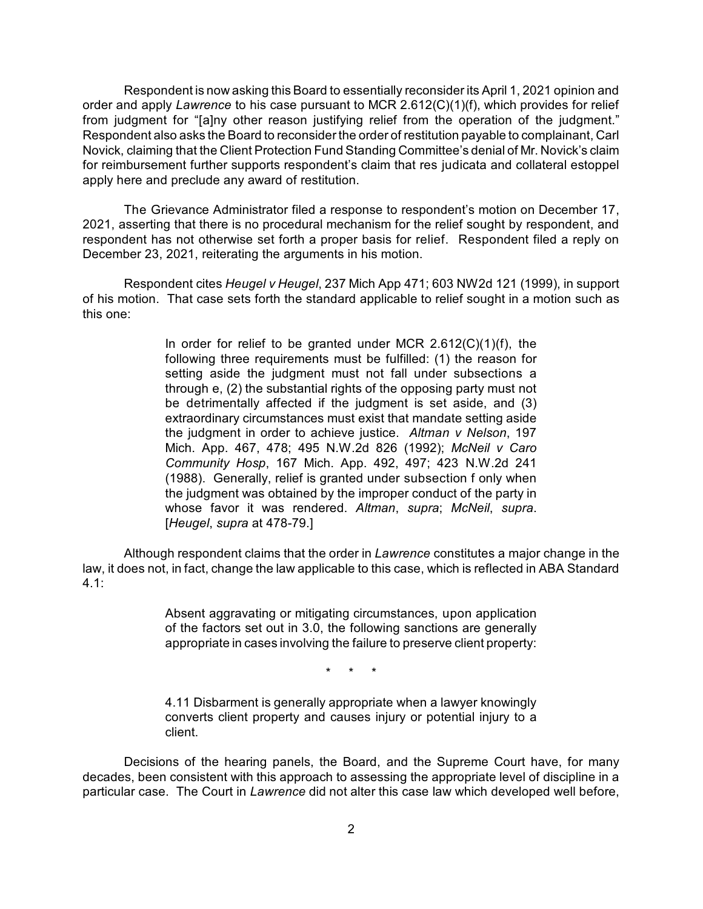Respondent is now asking this Board to essentially reconsider its April 1, 2021 opinion and order and apply *Lawrence* to his case pursuant to MCR 2.612(C)(1)(f), which provides for relief from judgment for "[a]ny other reason justifying relief from the operation of the judgment." Respondent also asks the Board to reconsiderthe order of restitution payable to complainant, Carl Novick, claiming that the Client Protection Fund Standing Committee's denial of Mr. Novick's claim for reimbursement further supports respondent's claim that res judicata and collateral estoppel apply here and preclude any award of restitution.

The Grievance Administrator filed a response to respondent's motion on December 17, 2021, asserting that there is no procedural mechanism for the relief sought by respondent, and respondent has not otherwise set forth a proper basis for relief. Respondent filed a reply on December 23, 2021, reiterating the arguments in his motion.

Respondent cites *Heugel v Heugel*, 237 Mich App 471; 603 NW2d 121 (1999), in support of his motion. That case sets forth the standard applicable to relief sought in a motion such as this one:

> In order for relief to be granted under MCR 2.612(C)(1)(f), the following three requirements must be fulfilled: (1) the reason for setting aside the judgment must not fall under subsections a through e, (2) the substantial rights of the opposing party must not be detrimentally affected if the judgment is set aside, and (3) extraordinary circumstances must exist that mandate setting aside the judgment in order to achieve justice. *Altman v Nelson*, 197 Mich. App. 467, 478; 495 N.W.2d 826 (1992); *McNeil v Caro Community Hosp*, 167 Mich. App. 492, 497; 423 N.W.2d 241 (1988). Generally, relief is granted under subsection f only when the judgment was obtained by the improper conduct of the party in whose favor it was rendered. *Altman*, *supra*; *McNeil*, *supra*. [*Heugel*, *supra* at 478-79.]

Although respondent claims that the order in *Lawrence* constitutes a major change in the law, it does not, in fact, change the law applicable to this case, which is reflected in ABA Standard 4.1:

> Absent aggravating or mitigating circumstances, upon application of the factors set out in 3.0, the following sanctions are generally appropriate in cases involving the failure to preserve client property:

> > \* \* \*

4.11 Disbarment is generally appropriate when a lawyer knowingly converts client property and causes injury or potential injury to a client.

Decisions of the hearing panels, the Board, and the Supreme Court have, for many decades, been consistent with this approach to assessing the appropriate level of discipline in a particular case. The Court in *Lawrence* did not alter this case law which developed well before,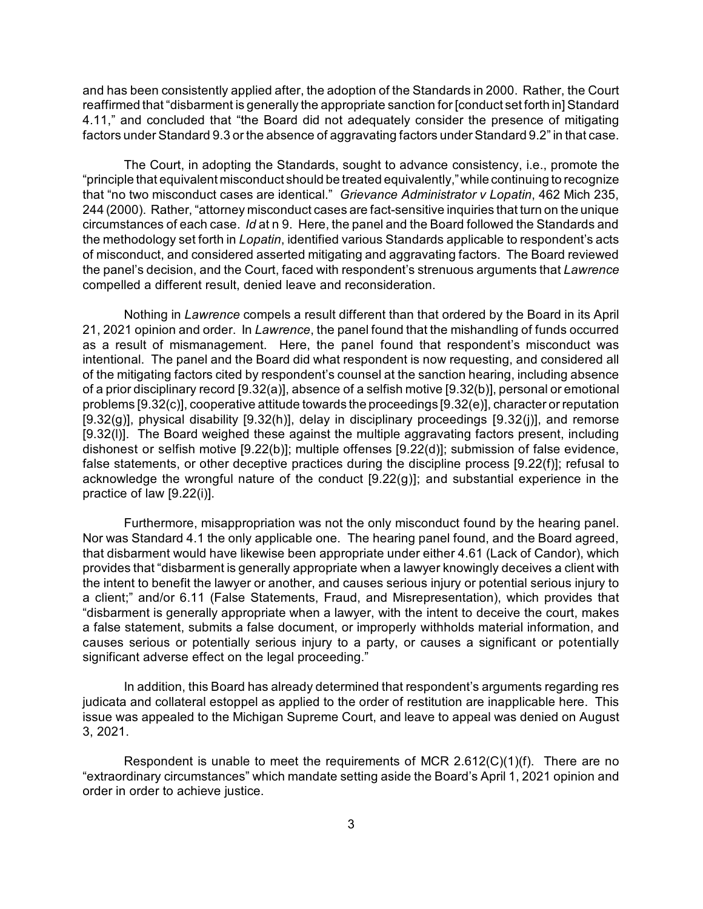and has been consistently applied after, the adoption of the Standards in 2000. Rather, the Court reaffirmed that "disbarment is generally the appropriate sanction for [conduct set forth in] Standard 4.11," and concluded that "the Board did not adequately consider the presence of mitigating factors under Standard 9.3 or the absence of aggravating factors under Standard 9.2" in that case.

The Court, in adopting the Standards, sought to advance consistency, i.e., promote the "principle that equivalent misconduct should be treated equivalently,"while continuing to recognize that "no two misconduct cases are identical." *Grievance Administrator v Lopatin*, 462 Mich 235, 244 (2000). Rather, "attorney misconduct cases are fact-sensitive inquiries that turn on the unique circumstances of each case. *Id* at n 9. Here, the panel and the Board followed the Standards and the methodology set forth in *Lopatin*, identified various Standards applicable to respondent's acts of misconduct, and considered asserted mitigating and aggravating factors. The Board reviewed the panel's decision, and the Court, faced with respondent's strenuous arguments that *Lawrence* compelled a different result, denied leave and reconsideration.

Nothing in *Lawrence* compels a result different than that ordered by the Board in its April 21, 2021 opinion and order. In *Lawrence*, the panel found that the mishandling of funds occurred as a result of mismanagement. Here, the panel found that respondent's misconduct was intentional. The panel and the Board did what respondent is now requesting, and considered all of the mitigating factors cited by respondent's counsel at the sanction hearing, including absence of a prior disciplinary record [9.32(a)], absence of a selfish motive [9.32(b)], personal or emotional problems [9.32(c)], cooperative attitude towards the proceedings [9.32(e)], character or reputation [9.32(g)], physical disability [9.32(h)], delay in disciplinary proceedings [9.32(j)], and remorse [9.32(l)]. The Board weighed these against the multiple aggravating factors present, including dishonest or selfish motive [9.22(b)]; multiple offenses [9.22(d)]; submission of false evidence, false statements, or other deceptive practices during the discipline process [9.22(f)]; refusal to acknowledge the wrongful nature of the conduct [9.22(g)]; and substantial experience in the practice of law [9.22(i)].

Furthermore, misappropriation was not the only misconduct found by the hearing panel. Nor was Standard 4.1 the only applicable one. The hearing panel found, and the Board agreed, that disbarment would have likewise been appropriate under either 4.61 (Lack of Candor), which provides that "disbarment is generally appropriate when a lawyer knowingly deceives a client with the intent to benefit the lawyer or another, and causes serious injury or potential serious injury to a client;" and/or 6.11 (False Statements, Fraud, and Misrepresentation), which provides that "disbarment is generally appropriate when a lawyer, with the intent to deceive the court, makes a false statement, submits a false document, or improperly withholds material information, and causes serious or potentially serious injury to a party, or causes a significant or potentially significant adverse effect on the legal proceeding."

In addition, this Board has already determined that respondent's arguments regarding res judicata and collateral estoppel as applied to the order of restitution are inapplicable here. This issue was appealed to the Michigan Supreme Court, and leave to appeal was denied on August 3, 2021.

Respondent is unable to meet the requirements of MCR  $2.612(C)(1)(f)$ . There are no "extraordinary circumstances" which mandate setting aside the Board's April 1, 2021 opinion and order in order to achieve justice.